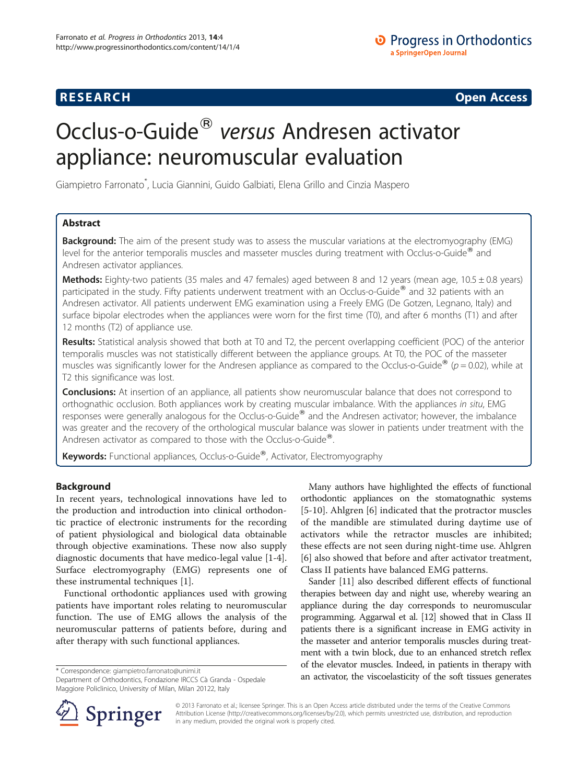## **RESEARCH RESEARCH CONSUMING ACCESS**

# Occlus-o-Guide<sup>®</sup> versus Andresen activator appliance: neuromuscular evaluation

Giampietro Farronato\* , Lucia Giannini, Guido Galbiati, Elena Grillo and Cinzia Maspero

## Abstract

Background: The aim of the present study was to assess the muscular variations at the electromyography (EMG) level for the anterior temporalis muscles and masseter muscles during treatment with Occlus-o-Guide $^{\circledast}$  and Andresen activator appliances.

Methods: Eighty-two patients (35 males and 47 females) aged between 8 and 12 years (mean age, 10.5 ± 0.8 years) participated in the study. Fifty patients underwent treatment with an Occlus-o-Guide® and 32 patients with an Andresen activator. All patients underwent EMG examination using a Freely EMG (De Gotzen, Legnano, Italy) and surface bipolar electrodes when the appliances were worn for the first time (T0), and after 6 months (T1) and after 12 months (T2) of appliance use.

Results: Statistical analysis showed that both at T0 and T2, the percent overlapping coefficient (POC) of the anterior temporalis muscles was not statistically different between the appliance groups. At T0, the POC of the masseter muscles was significantly lower for the Andresen appliance as compared to the Occlus-o-Guide<sup>®</sup> ( $p = 0.02$ ), while at T2 this significance was lost.

**Conclusions:** At insertion of an appliance, all patients show neuromuscular balance that does not correspond to orthognathic occlusion. Both appliances work by creating muscular imbalance. With the appliances in situ, EMG responses were generally analogous for the Occlus-o-Guide $^{\circledR}$  and the Andresen activator; however, the imbalance was greater and the recovery of the orthological muscular balance was slower in patients under treatment with the Andresen activator as compared to those with the Occlus-o-Guide<sup>®</sup>.

Keywords: Functional appliances, Occlus-o-Guide®, Activator, Electromyography

### Background

In recent years, technological innovations have led to the production and introduction into clinical orthodontic practice of electronic instruments for the recording of patient physiological and biological data obtainable through objective examinations. These now also supply diagnostic documents that have medico-legal value [[1-4](#page-4-0)]. Surface electromyography (EMG) represents one of these instrumental techniques [[1\]](#page-4-0).

Functional orthodontic appliances used with growing patients have important roles relating to neuromuscular function. The use of EMG allows the analysis of the neuromuscular patterns of patients before, during and after therapy with such functional appliances.

Department of Orthodontics, Fondazione IRCCS Cà Granda - Ospedale Maggiore Policlinico, University of Milan, Milan 20122, Italy

Many authors have highlighted the effects of functional orthodontic appliances on the stomatognathic systems [[5-10\]](#page-4-0). Ahlgren [\[6](#page-4-0)] indicated that the protractor muscles of the mandible are stimulated during daytime use of activators while the retractor muscles are inhibited; these effects are not seen during night-time use. Ahlgren [[6\]](#page-4-0) also showed that before and after activator treatment, Class II patients have balanced EMG patterns.

Sander [[11\]](#page-4-0) also described different effects of functional therapies between day and night use, whereby wearing an appliance during the day corresponds to neuromuscular programming. Aggarwal et al. [[12](#page-4-0)] showed that in Class II patients there is a significant increase in EMG activity in the masseter and anterior temporalis muscles during treatment with a twin block, due to an enhanced stretch reflex of the elevator muscles. Indeed, in patients in therapy with an activator, the viscoelasticity of the soft tissues generates \* Correspondence: [giampietro.farronato@unimi.it](mailto:giampietro.farronato@unimi.it)



© 2013 Farronato et al.; licensee Springer. This is an Open Access article distributed under the terms of the Creative Commons Attribution License [\(http://creativecommons.org/licenses/by/2.0\)](http://creativecommons.org/licenses/by/2.0), which permits unrestricted use, distribution, and reproduction in any medium, provided the original work is properly cited.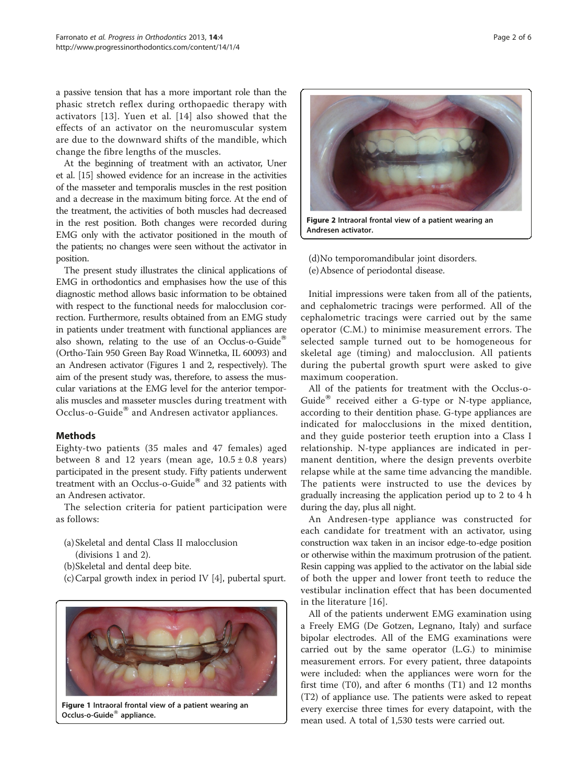a passive tension that has a more important role than the phasic stretch reflex during orthopaedic therapy with activators [\[13\]](#page-4-0). Yuen et al. [\[14\]](#page-4-0) also showed that the effects of an activator on the neuromuscular system are due to the downward shifts of the mandible, which change the fibre lengths of the muscles.

At the beginning of treatment with an activator, Uner et al. [\[15\]](#page-4-0) showed evidence for an increase in the activities of the masseter and temporalis muscles in the rest position and a decrease in the maximum biting force. At the end of the treatment, the activities of both muscles had decreased in the rest position. Both changes were recorded during EMG only with the activator positioned in the mouth of the patients; no changes were seen without the activator in position.

The present study illustrates the clinical applications of EMG in orthodontics and emphasises how the use of this diagnostic method allows basic information to be obtained with respect to the functional needs for malocclusion correction. Furthermore, results obtained from an EMG study in patients under treatment with functional appliances are also shown, relating to the use of an Occlus-o-Guide<sup>®</sup> (Ortho-Tain 950 Green Bay Road Winnetka, IL 60093) and an Andresen activator (Figures 1 and 2, respectively). The aim of the present study was, therefore, to assess the muscular variations at the EMG level for the anterior temporalis muscles and masseter muscles during treatment with Occlus-o-Guide<sup>®</sup> and Andresen activator appliances.

### Methods

Eighty-two patients (35 males and 47 females) aged between 8 and 12 years (mean age,  $10.5 \pm 0.8$  years) participated in the present study. Fifty patients underwent treatment with an Occlus-o-Guide $^{\circledR}$  and 32 patients with an Andresen activator.

The selection criteria for patient participation were as follows:

- (a) Skeletal and dental Class II malocclusion (divisions 1 and 2).
- (b)Skeletal and dental deep bite.
- (c)Carpal growth index in period IV [\[4](#page-4-0)], pubertal spurt.



Figure 1 Intraoral frontal view of a patient wearing an Occlus-o-Guide<sup>®</sup> appliance.

Figure 2 Intraoral frontal view of a patient wearing an

Andresen activator.

(d)No temporomandibular joint disorders. (e)Absence of periodontal disease.

Initial impressions were taken from all of the patients, and cephalometric tracings were performed. All of the cephalometric tracings were carried out by the same operator (C.M.) to minimise measurement errors. The selected sample turned out to be homogeneous for skeletal age (timing) and malocclusion. All patients during the pubertal growth spurt were asked to give maximum cooperation.

All of the patients for treatment with the Occlus-o-Guide $^{\circledR}$  received either a G-type or N-type appliance, according to their dentition phase. G-type appliances are indicated for malocclusions in the mixed dentition, and they guide posterior teeth eruption into a Class I relationship. N-type appliances are indicated in permanent dentition, where the design prevents overbite relapse while at the same time advancing the mandible. The patients were instructed to use the devices by gradually increasing the application period up to 2 to 4 h during the day, plus all night.

An Andresen-type appliance was constructed for each candidate for treatment with an activator, using construction wax taken in an incisor edge-to-edge position or otherwise within the maximum protrusion of the patient. Resin capping was applied to the activator on the labial side of both the upper and lower front teeth to reduce the vestibular inclination effect that has been documented in the literature [[16](#page-4-0)].

All of the patients underwent EMG examination using a Freely EMG (De Gotzen, Legnano, Italy) and surface bipolar electrodes. All of the EMG examinations were carried out by the same operator (L.G.) to minimise measurement errors. For every patient, three datapoints were included: when the appliances were worn for the first time (T0), and after 6 months (T1) and 12 months (T2) of appliance use. The patients were asked to repeat every exercise three times for every datapoint, with the mean used. A total of 1,530 tests were carried out.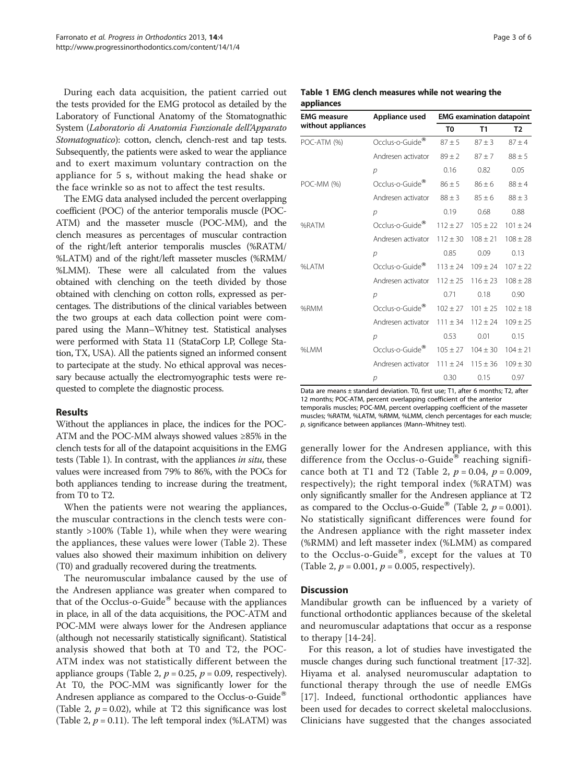During each data acquisition, the patient carried out the tests provided for the EMG protocol as detailed by the Laboratory of Functional Anatomy of the Stomatognathic System (Laboratorio di Anatomia Funzionale dell'Apparato Stomatognatico): cotton, clench, clench-rest and tap tests. Subsequently, the patients were asked to wear the appliance and to exert maximum voluntary contraction on the appliance for 5 s, without making the head shake or the face wrinkle so as not to affect the test results.

The EMG data analysed included the percent overlapping coefficient (POC) of the anterior temporalis muscle (POC-ATM) and the masseter muscle (POC-MM), and the clench measures as percentages of muscular contraction of the right/left anterior temporalis muscles (%RATM/ %LATM) and of the right/left masseter muscles (%RMM/ %LMM). These were all calculated from the values obtained with clenching on the teeth divided by those obtained with clenching on cotton rolls, expressed as percentages. The distributions of the clinical variables between the two groups at each data collection point were compared using the Mann–Whitney test. Statistical analyses were performed with Stata 11 (StataCorp LP, College Station, TX, USA). All the patients signed an informed consent to partecipate at the study. No ethical approval was necessary because actually the electromyographic tests were requested to complete the diagnostic process.

### Results

Without the appliances in place, the indices for the POC-ATM and the POC-MM always showed values ≥85% in the clench tests for all of the datapoint acquisitions in the EMG tests (Table 1). In contrast, with the appliances in situ, these values were increased from 79% to 86%, with the POCs for both appliances tending to increase during the treatment, from T0 to T2.

When the patients were not wearing the appliances, the muscular contractions in the clench tests were constantly >100% (Table 1), while when they were wearing the appliances, these values were lower (Table [2](#page-3-0)). These values also showed their maximum inhibition on delivery (T0) and gradually recovered during the treatments.

The neuromuscular imbalance caused by the use of the Andresen appliance was greater when compared to that of the Occlus-o-Guide® because with the appliances in place, in all of the data acquisitions, the POC-ATM and POC-MM were always lower for the Andresen appliance (although not necessarily statistically significant). Statistical analysis showed that both at T0 and T2, the POC-ATM index was not statistically different between the appliance groups (Table [2](#page-3-0),  $p = 0.25$ ,  $p = 0.09$ , respectively). At T0, the POC-MM was significantly lower for the Andresen appliance as compared to the Occlus-o-Guide<sup>®</sup> (Table [2](#page-3-0),  $p = 0.02$ ), while at T2 this significance was lost (Table [2](#page-3-0),  $p = 0.11$ ). The left temporal index (%LATM) was

| Page 3 of 6 |  |  |  |
|-------------|--|--|--|
|-------------|--|--|--|

#### Table 1 EMG clench measures while not wearing the appliances

| <b>EMG</b> measure | Appliance used              | <b>EMG</b> examination datapoint |              |                |
|--------------------|-----------------------------|----------------------------------|--------------|----------------|
| without appliances |                             | T <sub>0</sub>                   | T1           | T <sub>2</sub> |
| POC-ATM (%)        | Occlus-o-Guide®             | $87 + 5$                         | $87 + 3$     | $87 + 4$       |
|                    | Andresen activator          | $89 \pm 2$                       | $87 + 7$     | $88 \pm 5$     |
|                    | $\mathcal{D}$               | 0.16                             | 0.82         | 0.05           |
| POC-MM (%)         | Occlus-o-Guide <sup>®</sup> | $86 \pm 5$                       | $86 \pm 6$   | $88 \pm 4$     |
|                    | Andresen activator          | $88 \pm 3$                       | $85 \pm 6$   | $88 \pm 3$     |
|                    | р                           | 0.19                             | 0.68         | 0.88           |
| %RATM              | Occlus-o-Guide <sup>®</sup> | $112 \pm 27$                     | $105 \pm 22$ | $101 \pm 24$   |
|                    | Andresen activator          | $112 \pm 30$                     | $108 \pm 21$ | $108 \pm 28$   |
|                    | р                           | 0.85                             | 0.09         | 0.13           |
| %LATM              | Occlus-o-Guide <sup>®</sup> | $113 \pm 24$                     | $109 \pm 24$ | $107 \pm 22$   |
|                    | Andresen activator          | $112 \pm 25$                     | $116 \pm 23$ | $108 \pm 28$   |
|                    | р                           | 0.71                             | 0.18         | 0.90           |
| %RMM               | Occlus-o-Guide®             | $102 \pm 27$                     | $101 \pm 25$ | $102 \pm 18$   |
|                    | Andresen activator          | $111 \pm 34$                     | $112 \pm 24$ | $109 \pm 25$   |
|                    | р                           | 0.53                             | 0.01         | 0.15           |
| %LMM               | Occlus-o-Guide <sup>®</sup> | $105 \pm 27$                     | $104 \pm 30$ | $104 \pm 21$   |
|                    | Andresen activator          | $111 \pm 24$                     | $115 \pm 36$ | $109 \pm 30$   |
|                    | p                           | 0.30                             | 0.15         | 0.97           |

Data are means ± standard deviation. T0, first use; T1, after 6 months; T2, after 12 months; POC-ATM, percent overlapping coefficient of the anterior temporalis muscles; POC-MM, percent overlapping coefficient of the masseter muscles; %RATM, %LATM, %RMM, %LMM, clench percentages for each muscle; p, significance between appliances (Mann–Whitney test).

generally lower for the Andresen appliance, with this difference from the Occlus-o-Guide<sup>®</sup> reaching signifi-cance both at T1 and T2 (Table [2,](#page-3-0)  $p = 0.04$ ,  $p = 0.009$ , respectively); the right temporal index (%RATM) was only significantly smaller for the Andresen appliance at T2 as compared to the Occlus-o-Guide<sup>®</sup> (Table [2](#page-3-0),  $p = 0.001$ ). No statistically significant differences were found for the Andresen appliance with the right masseter index (%RMM) and left masseter index (%LMM) as compared to the Occlus-o-Guide<sup>®</sup>, except for the values at T0 (Table [2](#page-3-0),  $p = 0.001$ ,  $p = 0.005$ , respectively).

### **Discussion**

Mandibular growth can be influenced by a variety of functional orthodontic appliances because of the skeletal and neuromuscular adaptations that occur as a response to therapy [[14-24\]](#page-4-0).

For this reason, a lot of studies have investigated the muscle changes during such functional treatment [\[17-](#page-4-0)[32](#page-5-0)]. Hiyama et al. analysed neuromuscular adaptation to functional therapy through the use of needle EMGs [[17\]](#page-4-0). Indeed, functional orthodontic appliances have been used for decades to correct skeletal malocclusions. Clinicians have suggested that the changes associated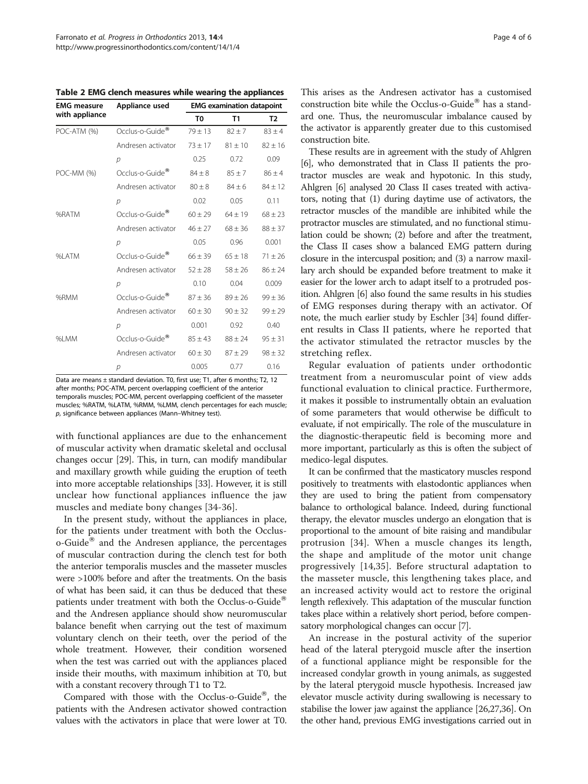<span id="page-3-0"></span>Table 2 EMG clench measures while wearing the appliances

| <b>EMG</b> measure<br>with appliance | Appliance used              | <b>EMG examination datapoint</b> |             |             |
|--------------------------------------|-----------------------------|----------------------------------|-------------|-------------|
|                                      |                             | T0                               | T1          | T2          |
| POC-ATM (%)                          | Occlus-o-Guide <sup>®</sup> | $79 \pm 13$                      | $82 + 7$    | $83 + 4$    |
|                                      | Andresen activator          | $73 + 17$                        | $81 + 10$   | $82 + 16$   |
|                                      | р                           | 0.25                             | 0.72        | 0.09        |
| POC-MM (%)                           | Occlus-o-Guide <sup>®</sup> | $84 \pm 8$                       | $85 + 7$    | $86 \pm 4$  |
|                                      | Andresen activator          | $80 \pm 8$                       | $84 \pm 6$  | $84 \pm 12$ |
|                                      | р                           | 0.02                             | 0.05        | 0.11        |
| %RATM                                | Occlus-o-Guide®             | $60 \pm 29$                      | $64 \pm 19$ | $68 \pm 23$ |
|                                      | Andresen activator          | $46 \pm 27$                      | $68 \pm 36$ | $88 \pm 37$ |
|                                      | $\mathcal{D}$               | 0.05                             | 0.96        | 0.001       |
| %LATM                                | Occlus-o-Guide <sup>®</sup> | $66 \pm 39$                      | $65 \pm 18$ | $71 \pm 26$ |
|                                      | Andresen activator          | $52 \pm 28$                      | $58 \pm 26$ | $86 \pm 24$ |
|                                      | $\mathcal{D}$               | 0.10                             | 0.04        | 0.009       |
| %RMM                                 | Occlus-o-Guide <sup>®</sup> | $87 \pm 36$                      | $89 \pm 26$ | $99 \pm 36$ |
|                                      | Andresen activator          | $60 \pm 30$                      | $90 \pm 32$ | $99 \pm 29$ |
|                                      | $\mathcal{D}$               | 0.001                            | 0.92        | 0.40        |
| %I MM                                | Occlus-o-Guide <sup>®</sup> | $85 \pm 43$                      | $88 \pm 24$ | $95 \pm 31$ |
|                                      | Andresen activator          | $60 \pm 30$                      | $87 + 29$   | $98 \pm 32$ |
|                                      | р                           | 0.005                            | 0.77        | 0.16        |

Data are means ± standard deviation. T0, first use; T1, after 6 months; T2, 12 after months; POC-ATM, percent overlapping coefficient of the anterior temporalis muscles; POC-MM, percent overlapping coefficient of the masseter muscles; %RATM, %LATM, %RMM, %LMM, clench percentages for each muscle; p, significance between appliances (Mann–Whitney test).

with functional appliances are due to the enhancement of muscular activity when dramatic skeletal and occlusal changes occur [[29](#page-5-0)]. This, in turn, can modify mandibular and maxillary growth while guiding the eruption of teeth into more acceptable relationships [[33](#page-5-0)]. However, it is still unclear how functional appliances influence the jaw muscles and mediate bony changes [[34-36\]](#page-5-0).

In the present study, without the appliances in place, for the patients under treatment with both the Occlus $o$ -Guide<sup>®</sup> and the Andresen appliance, the percentages of muscular contraction during the clench test for both the anterior temporalis muscles and the masseter muscles were >100% before and after the treatments. On the basis of what has been said, it can thus be deduced that these patients under treatment with both the Occlus-o-Guide<sup>®</sup> and the Andresen appliance should show neuromuscular balance benefit when carrying out the test of maximum voluntary clench on their teeth, over the period of the whole treatment. However, their condition worsened when the test was carried out with the appliances placed inside their mouths, with maximum inhibition at T0, but with a constant recovery through T1 to T2.

Compared with those with the Occlus-o-Guide $\mathcal{C}$ , the patients with the Andresen activator showed contraction values with the activators in place that were lower at T0.

This arises as the Andresen activator has a customised construction bite while the Occlus-o-Guide $^{\circledR}$  has a standard one. Thus, the neuromuscular imbalance caused by the activator is apparently greater due to this customised construction bite.

These results are in agreement with the study of Ahlgren [[6](#page-4-0)], who demonstrated that in Class II patients the protractor muscles are weak and hypotonic. In this study, Ahlgren [\[6\]](#page-4-0) analysed 20 Class II cases treated with activators, noting that (1) during daytime use of activators, the retractor muscles of the mandible are inhibited while the protractor muscles are stimulated, and no functional stimulation could be shown; (2) before and after the treatment, the Class II cases show a balanced EMG pattern during closure in the intercuspal position; and (3) a narrow maxillary arch should be expanded before treatment to make it easier for the lower arch to adapt itself to a protruded position. Ahlgren [[6](#page-4-0)] also found the same results in his studies of EMG responses during therapy with an activator. Of note, the much earlier study by Eschler [\[34\]](#page-5-0) found different results in Class II patients, where he reported that the activator stimulated the retractor muscles by the stretching reflex.

Regular evaluation of patients under orthodontic treatment from a neuromuscular point of view adds functional evaluation to clinical practice. Furthermore, it makes it possible to instrumentally obtain an evaluation of some parameters that would otherwise be difficult to evaluate, if not empirically. The role of the musculature in the diagnostic-therapeutic field is becoming more and more important, particularly as this is often the subject of medico-legal disputes.

It can be confirmed that the masticatory muscles respond positively to treatments with elastodontic appliances when they are used to bring the patient from compensatory balance to orthological balance. Indeed, during functional therapy, the elevator muscles undergo an elongation that is proportional to the amount of bite raising and mandibular protrusion [\[34](#page-5-0)]. When a muscle changes its length, the shape and amplitude of the motor unit change progressively [\[14](#page-4-0),[35\]](#page-5-0). Before structural adaptation to the masseter muscle, this lengthening takes place, and an increased activity would act to restore the original length reflexively. This adaptation of the muscular function takes place within a relatively short period, before compensatory morphological changes can occur [\[7](#page-4-0)].

An increase in the postural activity of the superior head of the lateral pterygoid muscle after the insertion of a functional appliance might be responsible for the increased condylar growth in young animals, as suggested by the lateral pterygoid muscle hypothesis. Increased jaw elevator muscle activity during swallowing is necessary to stabilise the lower jaw against the appliance [[26,27,36\]](#page-5-0). On the other hand, previous EMG investigations carried out in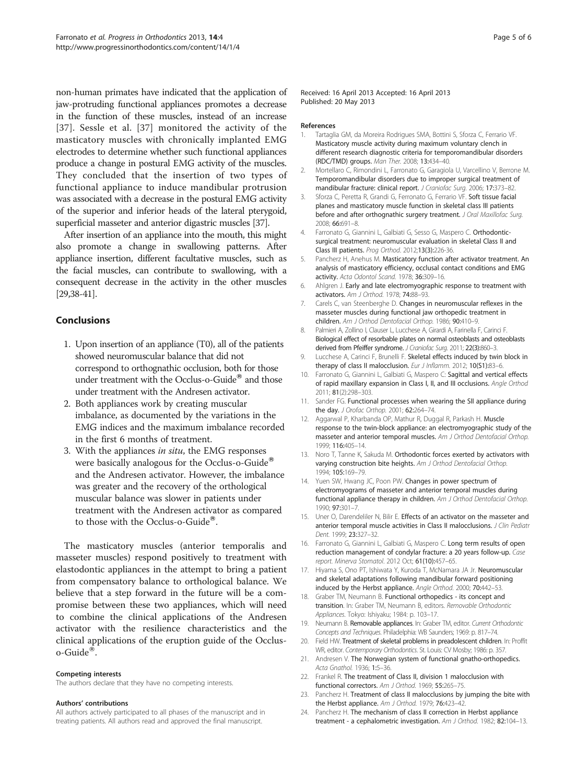<span id="page-4-0"></span>non-human primates have indicated that the application of jaw-protruding functional appliances promotes a decrease in the function of these muscles, instead of an increase [[37](#page-5-0)]. Sessle et al. [[37](#page-5-0)] monitored the activity of the masticatory muscles with chronically implanted EMG electrodes to determine whether such functional appliances produce a change in postural EMG activity of the muscles. They concluded that the insertion of two types of functional appliance to induce mandibular protrusion was associated with a decrease in the postural EMG activity of the superior and inferior heads of the lateral pterygoid, superficial masseter and anterior digastric muscles [\[37](#page-5-0)].

After insertion of an appliance into the mouth, this might also promote a change in swallowing patterns. After appliance insertion, different facultative muscles, such as the facial muscles, can contribute to swallowing, with a consequent decrease in the activity in the other muscles [[29,38-41](#page-5-0)].

## Conclusions

- 1. Upon insertion of an appliance (T0), all of the patients showed neuromuscular balance that did not correspond to orthognathic occlusion, both for those under treatment with the Occlus-o-Guide<sup>®</sup> and those under treatment with the Andresen activator.
- 2. Both appliances work by creating muscular imbalance, as documented by the variations in the EMG indices and the maximum imbalance recorded in the first 6 months of treatment.
- 3. With the appliances in situ, the EMG responses were basically analogous for the Occlus-o-Guide<sup>®</sup> and the Andresen activator. However, the imbalance was greater and the recovery of the orthological muscular balance was slower in patients under treatment with the Andresen activator as compared to those with the Occlus-o-Guide®.

The masticatory muscles (anterior temporalis and masseter muscles) respond positively to treatment with elastodontic appliances in the attempt to bring a patient from compensatory balance to orthological balance. We believe that a step forward in the future will be a compromise between these two appliances, which will need to combine the clinical applications of the Andresen activator with the resilience characteristics and the clinical applications of the eruption guide of the Occlus $o$ -Guide $^{\circledR}$ .

#### Competing interests

The authors declare that they have no competing interests.

#### Authors' contributions

All authors actively participated to all phases of the manuscript and in treating patients. All authors read and approved the final manuscript.

Received: 16 April 2013 Accepted: 16 April 2013 Published: 20 May 2013

#### References

- 1. Tartaglia GM, da Moreira Rodrigues SMA, Bottini S, Sforza C, Ferrario VF. Masticatory muscle activity during maximum voluntary clench in different research diagnostic criteria for temporomandibular disorders (RDC/TMD) groups. Man Ther. 2008; 13:434–40.
- 2. Mortellaro C, Rimondini L, Farronato G, Garagiola U, Varcellino V, Berrone M. Temporomandibular disorders due to improper surgical treatment of mandibular fracture: clinical report. J Craniofac Surg. 2006; 17:373–82.
- 3. Sforza C, Peretta R, Grandi G, Ferronato G, Ferrario VF. Soft tissue facial planes and masticatory muscle function in skeletal class III patients before and after orthognathic surgery treatment. J Oral Maxillofac Surg. 2008; 66:691–8.
- 4. Farronato G, Giannini L, Galbiati G, Sesso G, Maspero C. Orthodonticsurgical treatment: neuromuscular evaluation in skeletal Class II and Class III patients. Prog Orthod. 2012;13(3):226-36.
- 5. Pancherz H, Anehus M. Masticatory function after activator treatment. An analysis of masticatory efficiency, occlusal contact conditions and EMG activity. Acta Odontol Scand. 1978; 36:309–16.
- 6. Ahlgren J. Early and late electromyographic response to treatment with activators. Am J Orthod. 1978; 74:88–93.
- 7. Carels C, van Steenberghe D. Changes in neuromuscular reflexes in the masseter muscles during functional jaw orthopedic treatment in children. Am J Orthod Dentofacial Orthop. 1986; 90:410–9.
- 8. Palmieri A, Zollino I, Clauser L, Lucchese A, Girardi A, Farinella F, Carinci F. Biological effect of resorbable plates on normal osteoblasts and osteoblasts derived from Pfeiffer syndrome. J Craniofac Surg. 2011; 22(3):860-3.
- 9. Lucchese A, Carinci F, Brunelli F. Skeletal effects induced by twin block in therapy of class II malocclusion. Eur J Inflamm. 2012; 10(S1):83-6.
- 10. Farronato G, Giannini L, Galbiati G, Maspero C: Sagittal and vertical effects of rapid maxillary expansion in Class I, II, and III occlusions. Angle Orthod 2011; 81(2):298–303.
- 11. Sander FG. Functional processes when wearing the SII appliance during the day. J Orofac Orthop. 2001; 62:264–74.
- 12. Aggarwal P, Kharbanda OP, Mathur R, Duggal R, Parkash H. Muscle response to the twin-block appliance: an electromyographic study of the masseter and anterior temporal muscles. Am J Orthod Dentofacial Orthop. 1999; 116:405–14.
- 13. Noro T, Tanne K, Sakuda M. Orthodontic forces exerted by activators with varying construction bite heights. Am J Orthod Dentofacial Orthop. 1994; 105:169–79.
- 14. Yuen SW, Hwang JC, Poon PW. Changes in power spectrum of electromyograms of masseter and anterior temporal muscles during functional appliance therapy in children. Am J Orthod Dentofacial Orthop. 1990; 97:301–7.
- 15. Uner O, Darendeliler N, Bilir E. Effects of an activator on the masseter and anterior temporal muscle activities in Class II malocclusions. J Clin Pediatr Dent. 1999; 23:327–32.
- 16. Farronato G, Giannini L, Galbiati G, Maspero C. Long term results of open reduction management of condylar fracture: a 20 years follow-up. Case report. Minerva Stomatol. 2012 Oct; 61(10):457-65.
- 17. Hiyama S, Ono PT, Ishiwata Y, Kuroda T, McNamara JA Jr. Neuromuscular and skeletal adaptations following mandibular forward positioning induced by the Herbst appliance. Angle Orthod. 2000; 70:442–53.
- 18. Graber TM, Neumann B. Functional orthopedics its concept and transition. In: Graber TM, Neumann B, editors. Removable Orthodontic Appliances. Tokyo: Ishiyaku; 1984: p. 103–17.
- 19. Neumann B. Removable appliances. In: Graber TM, editor. Current Orthodontic Concepts and Techniques. Philadelphia: WB Saunders; 1969: p. 817–74.
- 20. Field HW. Treatment of skeletal problems in preadolescent children. In: Proffit WR, editor. Contemporary Orthodontics. St. Louis: CV Mosby; 1986: p. 357.
- 21. Andresen V. The Norwegian system of functional gnatho-orthopedics. Acta Gnathol. 1936; 1:5–36.
- 22. Frankel R. The treatment of Class II, division 1 malocclusion with functional correctors. Am J Orthod. 1969; 55:265–75.
- Pancherz H. Treatment of class II malocclusions by jumping the bite with the Herbst appliance. Am J Orthod. 1979; 76:423-42.
- 24. Pancherz H. The mechanism of class II correction in Herbst appliance treatment - a cephalometric investigation. Am J Orthod. 1982; 82:104–13.